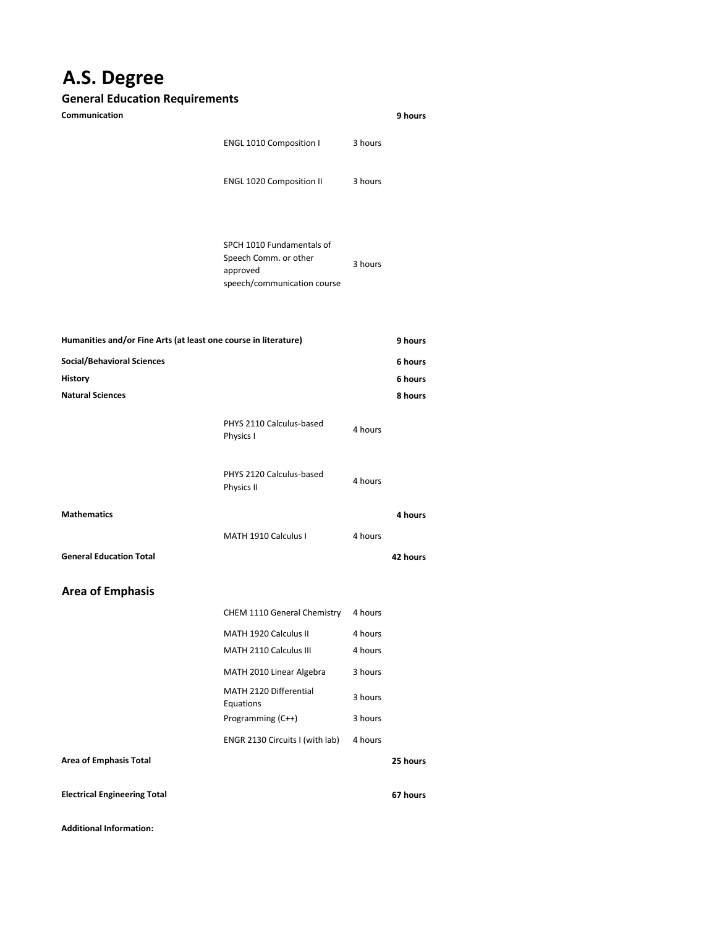## **A.S. Degree**

## **General Education Requirements**

| Communication                                                                  |                                                                                               |                    | 9 hours                       |
|--------------------------------------------------------------------------------|-----------------------------------------------------------------------------------------------|--------------------|-------------------------------|
|                                                                                | ENGL 1010 Composition I                                                                       | 3 hours            |                               |
|                                                                                | <b>ENGL 1020 Composition II</b>                                                               | 3 hours            |                               |
|                                                                                | SPCH 1010 Fundamentals of<br>Speech Comm. or other<br>approved<br>speech/communication course | 3 hours            |                               |
| Humanities and/or Fine Arts (at least one course in literature)                |                                                                                               |                    | 9 hours                       |
| <b>Social/Behavioral Sciences</b><br><b>History</b><br><b>Natural Sciences</b> |                                                                                               |                    | 6 hours<br>6 hours<br>8 hours |
|                                                                                | PHYS 2110 Calculus-based<br>Physics I                                                         | 4 hours            |                               |
|                                                                                | PHYS 2120 Calculus-based<br>Physics II                                                        | 4 hours            |                               |
| <b>Mathematics</b>                                                             |                                                                                               |                    | 4 hours                       |
|                                                                                | MATH 1910 Calculus I                                                                          | 4 hours            |                               |
| <b>General Education Total</b>                                                 |                                                                                               |                    | 42 hours                      |
| <b>Area of Emphasis</b>                                                        |                                                                                               |                    |                               |
|                                                                                | CHEM 1110 General Chemistry 4 hours                                                           |                    |                               |
|                                                                                | MATH 1920 Calculus II<br>MATH 2110 Calculus III                                               | 4 hours<br>4 hours |                               |
|                                                                                | MATH 2010 Linear Algebra                                                                      | 3 hours            |                               |
|                                                                                | MATH 2120 Differential                                                                        |                    |                               |
|                                                                                | Equations<br>Programming (C++)                                                                | 3 hours<br>3 hours |                               |
|                                                                                | ENGR 2130 Circuits I (with lab)                                                               | 4 hours            |                               |
| <b>Area of Emphasis Total</b>                                                  |                                                                                               |                    | 25 hours                      |
| <b>Electrical Engineering Total</b>                                            |                                                                                               |                    | 67 hours                      |

**Additional Information:**